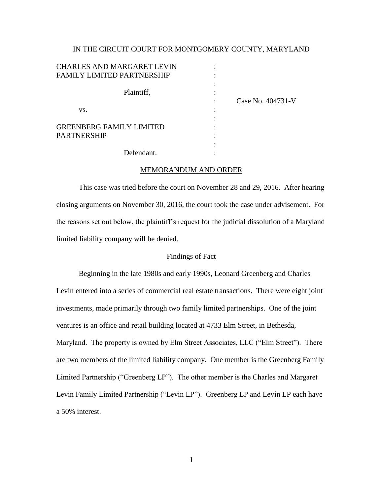### IN THE CIRCUIT COURT FOR MONTGOMERY COUNTY, MARYLAND

| <b>CHARLES AND MARGARET LEVIN</b> |                   |
|-----------------------------------|-------------------|
| <b>FAMILY LIMITED PARTNERSHIP</b> |                   |
|                                   |                   |
| Plaintiff,                        |                   |
|                                   | Case No. 404731-V |
| VS.                               |                   |
|                                   |                   |
| <b>GREENBERG FAMILY LIMITED</b>   |                   |
| <b>PARTNERSHIP</b>                |                   |
|                                   |                   |

# MEMORANDUM AND ORDER

Defendant. :

This case was tried before the court on November 28 and 29, 2016. After hearing closing arguments on November 30, 2016, the court took the case under advisement. For the reasons set out below, the plaintiff's request for the judicial dissolution of a Maryland limited liability company will be denied.

#### Findings of Fact

Beginning in the late 1980s and early 1990s, Leonard Greenberg and Charles Levin entered into a series of commercial real estate transactions. There were eight joint investments, made primarily through two family limited partnerships. One of the joint ventures is an office and retail building located at 4733 Elm Street, in Bethesda, Maryland. The property is owned by Elm Street Associates, LLC ("Elm Street"). There are two members of the limited liability company. One member is the Greenberg Family Limited Partnership ("Greenberg LP"). The other member is the Charles and Margaret Levin Family Limited Partnership ("Levin LP"). Greenberg LP and Levin LP each have a 50% interest.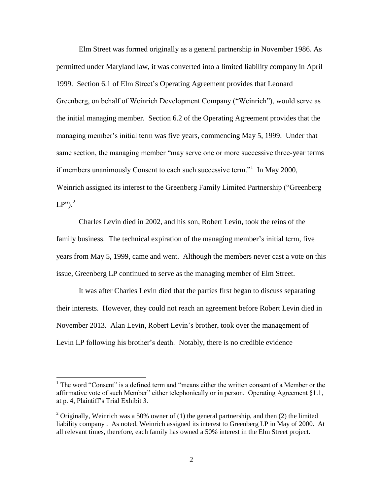Elm Street was formed originally as a general partnership in November 1986. As permitted under Maryland law, it was converted into a limited liability company in April 1999. Section 6.1 of Elm Street's Operating Agreement provides that Leonard Greenberg, on behalf of Weinrich Development Company ("Weinrich"), would serve as the initial managing member. Section 6.2 of the Operating Agreement provides that the managing member's initial term was five years, commencing May 5, 1999. Under that same section, the managing member "may serve one or more successive three-year terms if members unanimously Consent to each such successive term."<sup>1</sup> In May 2000, Weinrich assigned its interest to the Greenberg Family Limited Partnership ("Greenberg  $LP$ ").<sup>2</sup>

Charles Levin died in 2002, and his son, Robert Levin, took the reins of the family business. The technical expiration of the managing member's initial term, five years from May 5, 1999, came and went. Although the members never cast a vote on this issue, Greenberg LP continued to serve as the managing member of Elm Street.

It was after Charles Levin died that the parties first began to discuss separating their interests. However, they could not reach an agreement before Robert Levin died in November 2013. Alan Levin, Robert Levin's brother, took over the management of Levin LP following his brother's death. Notably, there is no credible evidence

<sup>&</sup>lt;sup>1</sup> The word "Consent" is a defined term and "means either the written consent of a Member or the affirmative vote of such Member" either telephonically or in person. Operating Agreement §1.1, at p. 4, Plaintiff's Trial Exhibit 3.

<sup>&</sup>lt;sup>2</sup> Originally, Weinrich was a 50% owner of (1) the general partnership, and then (2) the limited liability company . As noted, Weinrich assigned its interest to Greenberg LP in May of 2000. At all relevant times, therefore, each family has owned a 50% interest in the Elm Street project.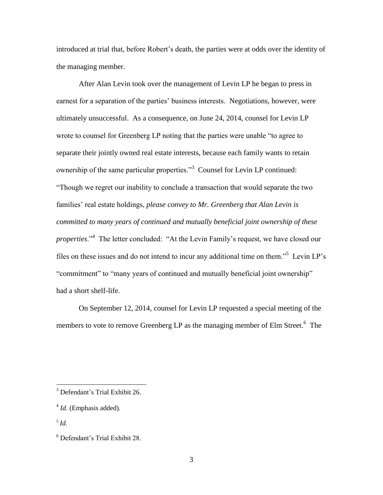introduced at trial that, before Robert's death, the parties were at odds over the identity of the managing member.

After Alan Levin took over the management of Levin LP he began to press in earnest for a separation of the parties' business interests. Negotiations, however, were ultimately unsuccessful. As a consequence, on June 24, 2014, counsel for Levin LP wrote to counsel for Greenberg LP noting that the parties were unable "to agree to separate their jointly owned real estate interests, because each family wants to retain ownership of the same particular properties."<sup>3</sup> Counsel for Levin LP continued: "Though we regret our inability to conclude a transaction that would separate the two families' real estate holdings, *please convey to Mr. Greenberg that Alan Levin is committed to many years of continued and mutually beneficial joint ownership of these properties*."<sup>4</sup> The letter concluded: "At the Levin Family's request, we have closed our files on these issues and do not intend to incur any additional time on them."<sup>5</sup> Levin LP's "commitment" to "many years of continued and mutually beneficial joint ownership" had a short shelf-life.

On September 12, 2014, counsel for Levin LP requested a special meeting of the members to vote to remove Greenberg LP as the managing member of Elm Street.<sup>6</sup> The

<sup>&</sup>lt;sup>3</sup> Defendant's Trial Exhibit 26.

<sup>&</sup>lt;sup>4</sup> *Id*. (Emphasis added).

<sup>5</sup> *Id*.

<sup>6</sup> Defendant's Trial Exhibit 28.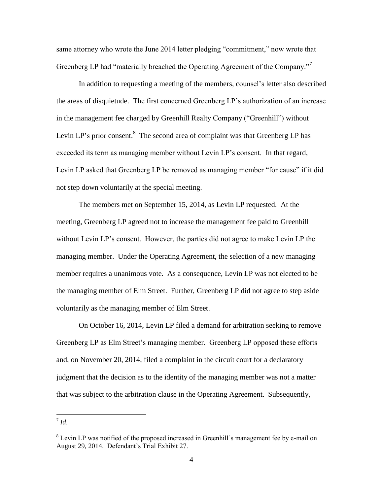same attorney who wrote the June 2014 letter pledging "commitment," now wrote that Greenberg LP had "materially breached the Operating Agreement of the Company."<sup>7</sup>

In addition to requesting a meeting of the members, counsel's letter also described the areas of disquietude. The first concerned Greenberg LP's authorization of an increase in the management fee charged by Greenhill Realty Company ("Greenhill") without Levin LP's prior consent. $8$  The second area of complaint was that Greenberg LP has exceeded its term as managing member without Levin LP's consent. In that regard, Levin LP asked that Greenberg LP be removed as managing member "for cause" if it did not step down voluntarily at the special meeting.

The members met on September 15, 2014, as Levin LP requested. At the meeting, Greenberg LP agreed not to increase the management fee paid to Greenhill without Levin LP's consent. However, the parties did not agree to make Levin LP the managing member. Under the Operating Agreement, the selection of a new managing member requires a unanimous vote. As a consequence, Levin LP was not elected to be the managing member of Elm Street. Further, Greenberg LP did not agree to step aside voluntarily as the managing member of Elm Street.

On October 16, 2014, Levin LP filed a demand for arbitration seeking to remove Greenberg LP as Elm Street's managing member. Greenberg LP opposed these efforts and, on November 20, 2014, filed a complaint in the circuit court for a declaratory judgment that the decision as to the identity of the managing member was not a matter that was subject to the arbitration clause in the Operating Agreement. Subsequently,

 $\frac{1}{\sqrt{1}}$ *Id.* 

<sup>&</sup>lt;sup>8</sup> Levin LP was notified of the proposed increased in Greenhill's management fee by e-mail on August 29, 2014. Defendant's Trial Exhibit 27.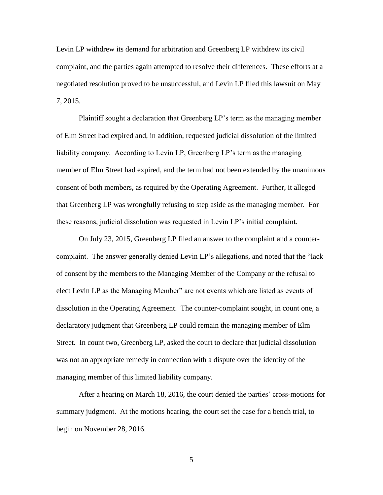Levin LP withdrew its demand for arbitration and Greenberg LP withdrew its civil complaint, and the parties again attempted to resolve their differences. These efforts at a negotiated resolution proved to be unsuccessful, and Levin LP filed this lawsuit on May 7, 2015.

Plaintiff sought a declaration that Greenberg LP's term as the managing member of Elm Street had expired and, in addition, requested judicial dissolution of the limited liability company. According to Levin LP, Greenberg LP's term as the managing member of Elm Street had expired, and the term had not been extended by the unanimous consent of both members, as required by the Operating Agreement. Further, it alleged that Greenberg LP was wrongfully refusing to step aside as the managing member. For these reasons, judicial dissolution was requested in Levin LP's initial complaint.

On July 23, 2015, Greenberg LP filed an answer to the complaint and a countercomplaint. The answer generally denied Levin LP's allegations, and noted that the "lack of consent by the members to the Managing Member of the Company or the refusal to elect Levin LP as the Managing Member" are not events which are listed as events of dissolution in the Operating Agreement. The counter-complaint sought, in count one, a declaratory judgment that Greenberg LP could remain the managing member of Elm Street. In count two, Greenberg LP, asked the court to declare that judicial dissolution was not an appropriate remedy in connection with a dispute over the identity of the managing member of this limited liability company.

After a hearing on March 18, 2016, the court denied the parties' cross-motions for summary judgment. At the motions hearing, the court set the case for a bench trial, to begin on November 28, 2016.

5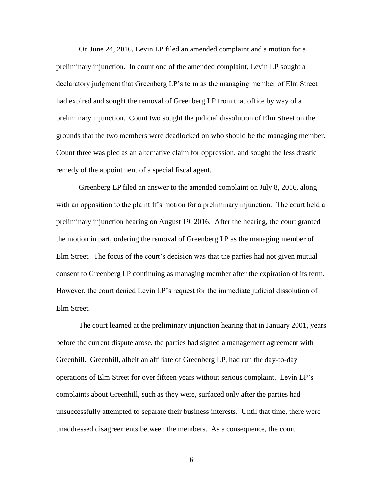On June 24, 2016, Levin LP filed an amended complaint and a motion for a preliminary injunction. In count one of the amended complaint, Levin LP sought a declaratory judgment that Greenberg LP's term as the managing member of Elm Street had expired and sought the removal of Greenberg LP from that office by way of a preliminary injunction. Count two sought the judicial dissolution of Elm Street on the grounds that the two members were deadlocked on who should be the managing member. Count three was pled as an alternative claim for oppression, and sought the less drastic remedy of the appointment of a special fiscal agent.

Greenberg LP filed an answer to the amended complaint on July 8, 2016, along with an opposition to the plaintiff's motion for a preliminary injunction. The court held a preliminary injunction hearing on August 19, 2016. After the hearing, the court granted the motion in part, ordering the removal of Greenberg LP as the managing member of Elm Street. The focus of the court's decision was that the parties had not given mutual consent to Greenberg LP continuing as managing member after the expiration of its term. However, the court denied Levin LP's request for the immediate judicial dissolution of Elm Street.

The court learned at the preliminary injunction hearing that in January 2001, years before the current dispute arose, the parties had signed a management agreement with Greenhill. Greenhill, albeit an affiliate of Greenberg LP, had run the day-to-day operations of Elm Street for over fifteen years without serious complaint. Levin LP's complaints about Greenhill, such as they were, surfaced only after the parties had unsuccessfully attempted to separate their business interests. Until that time, there were unaddressed disagreements between the members. As a consequence, the court

6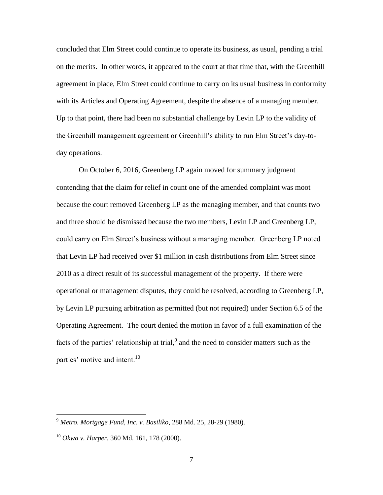concluded that Elm Street could continue to operate its business, as usual, pending a trial on the merits. In other words, it appeared to the court at that time that, with the Greenhill agreement in place, Elm Street could continue to carry on its usual business in conformity with its Articles and Operating Agreement, despite the absence of a managing member. Up to that point, there had been no substantial challenge by Levin LP to the validity of the Greenhill management agreement or Greenhill's ability to run Elm Street's day-today operations.

On October 6, 2016, Greenberg LP again moved for summary judgment contending that the claim for relief in count one of the amended complaint was moot because the court removed Greenberg LP as the managing member, and that counts two and three should be dismissed because the two members, Levin LP and Greenberg LP, could carry on Elm Street's business without a managing member. Greenberg LP noted that Levin LP had received over \$1 million in cash distributions from Elm Street since 2010 as a direct result of its successful management of the property. If there were operational or management disputes, they could be resolved, according to Greenberg LP, by Levin LP pursuing arbitration as permitted (but not required) under Section 6.5 of the Operating Agreement. The court denied the motion in favor of a full examination of the facts of the parties' relationship at trial, $9$  and the need to consider matters such as the parties' motive and intent.<sup>10</sup>

<sup>9</sup> *Metro. Mortgage Fund, Inc. v. Basiliko*, 288 Md. 25, 28-29 (1980).

<sup>10</sup> *Okwa v. Harper*, 360 Md. 161, 178 (2000).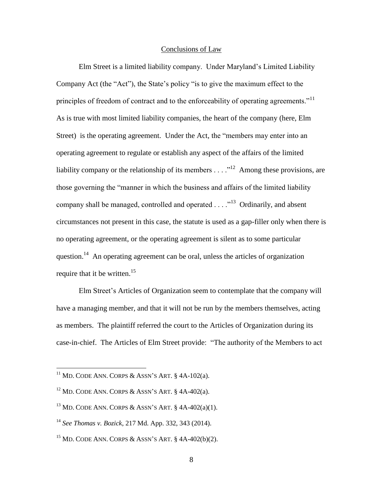#### Conclusions of Law

Elm Street is a limited liability company. Under Maryland's Limited Liability Company Act (the "Act"), the State's policy "is to give the maximum effect to the principles of freedom of contract and to the enforceability of operating agreements. $11$ As is true with most limited liability companies, the heart of the company (here, Elm Street) is the operating agreement. Under the Act, the "members may enter into an operating agreement to regulate or establish any aspect of the affairs of the limited liability company or the relationship of its members  $\dots$   $\cdot$ <sup>12</sup> Among these provisions, are those governing the "manner in which the business and affairs of the limited liability company shall be managed, controlled and operated  $\dots$   $\cdot$ <sup>13</sup> Ordinarily, and absent circumstances not present in this case, the statute is used as a gap-filler only when there is no operating agreement, or the operating agreement is silent as to some particular question.<sup>14</sup> An operating agreement can be oral, unless the articles of organization require that it be written.<sup>15</sup>

Elm Street's Articles of Organization seem to contemplate that the company will have a managing member, and that it will not be run by the members themselves, acting as members. The plaintiff referred the court to the Articles of Organization during its case-in-chief. The Articles of Elm Street provide: "The authority of the Members to act

 $11$  MD. CODE ANN. CORPS & ASSN'S ART.  $8$  4A-102(a).

<sup>&</sup>lt;sup>12</sup> MD. CODE ANN. CORPS & ASSN'S ART.  $§$  4A-402(a).

<sup>&</sup>lt;sup>13</sup> MD. CODE ANN. CORPS & ASSN'S ART.  $§$  4A-402(a)(1).

<sup>14</sup> *See Thomas v. Bozick*, 217 Md. App. 332, 343 (2014).

 $15$  MD. CODE ANN. CORPS & ASSN'S ART.  $\frac{15}{15}$  4A-402(b)(2).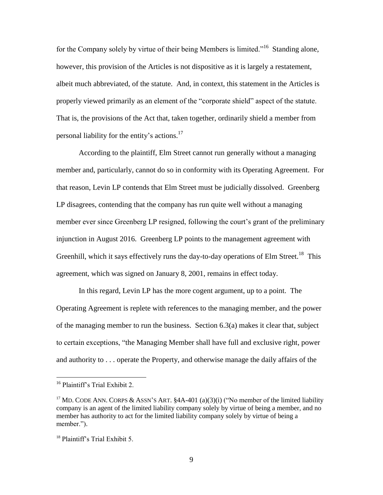for the Company solely by virtue of their being Members is limited."<sup>16</sup> Standing alone, however, this provision of the Articles is not dispositive as it is largely a restatement, albeit much abbreviated, of the statute. And, in context, this statement in the Articles is properly viewed primarily as an element of the "corporate shield" aspect of the statute. That is, the provisions of the Act that, taken together, ordinarily shield a member from personal liability for the entity's actions.<sup>17</sup>

According to the plaintiff, Elm Street cannot run generally without a managing member and, particularly, cannot do so in conformity with its Operating Agreement. For that reason, Levin LP contends that Elm Street must be judicially dissolved. Greenberg LP disagrees, contending that the company has run quite well without a managing member ever since Greenberg LP resigned, following the court's grant of the preliminary injunction in August 2016. Greenberg LP points to the management agreement with Greenhill, which it says effectively runs the day-to-day operations of Elm Street.<sup>18</sup> This agreement, which was signed on January 8, 2001, remains in effect today.

In this regard, Levin LP has the more cogent argument, up to a point. The Operating Agreement is replete with references to the managing member, and the power of the managing member to run the business. Section 6.3(a) makes it clear that, subject to certain exceptions, "the Managing Member shall have full and exclusive right, power and authority to . . . operate the Property, and otherwise manage the daily affairs of the

<sup>16</sup> Plaintiff's Trial Exhibit 2.

<sup>&</sup>lt;sup>17</sup> MD. CODE ANN. CORPS & ASSN'S ART.  $§$ 4A-401 (a)(3)(i) ("No member of the limited liability company is an agent of the limited liability company solely by virtue of being a member, and no member has authority to act for the limited liability company solely by virtue of being a member.").

<sup>18</sup> Plaintiff's Trial Exhibit 5.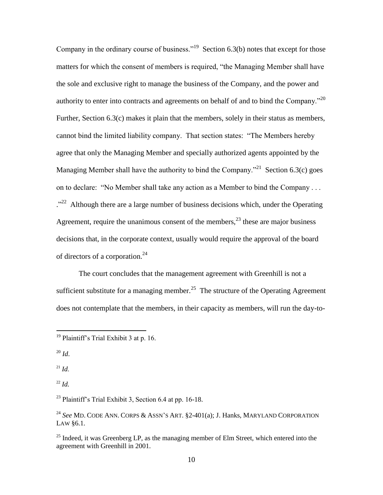Company in the ordinary course of business."<sup>19</sup> Section 6.3(b) notes that except for those matters for which the consent of members is required, "the Managing Member shall have the sole and exclusive right to manage the business of the Company, and the power and authority to enter into contracts and agreements on behalf of and to bind the Company. $^{220}$ Further, Section 6.3(c) makes it plain that the members, solely in their status as members, cannot bind the limited liability company. That section states: "The Members hereby agree that only the Managing Member and specially authorized agents appointed by the Managing Member shall have the authority to bind the Company."<sup>21</sup> Section 6.3(c) goes on to declare: "No Member shall take any action as a Member to bind the Company . . . <sup>22</sup> Although there are a large number of business decisions which, under the Operating Agreement, require the unanimous consent of the members,  $2<sup>3</sup>$  these are major business decisions that, in the corporate context, usually would require the approval of the board of directors of a corporation.<sup>24</sup>

The court concludes that the management agreement with Greenhill is not a sufficient substitute for a managing member.<sup>25</sup> The structure of the Operating Agreement does not contemplate that the members, in their capacity as members, will run the day-to-

 $\overline{a}$ 

 $^{21}$  *Id.* 

<sup>22</sup> *Id.*

<sup>23</sup> Plaintiff's Trial Exhibit 3, Section 6.4 at pp. 16-18.

<sup>&</sup>lt;sup>19</sup> Plaintiff's Trial Exhibit 3 at p. 16.

 $^{20}$  *Id*.

<sup>24</sup> *See* MD. CODE ANN. CORPS & ASSN'S ART. §2-401(a); J. Hanks, MARYLAND CORPORATION LAW §6.1.

<sup>&</sup>lt;sup>25</sup> Indeed, it was Greenberg LP, as the managing member of Elm Street, which entered into the agreement with Greenhill in 2001.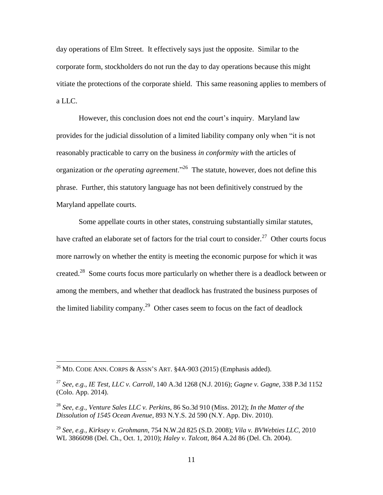day operations of Elm Street. It effectively says just the opposite. Similar to the corporate form, stockholders do not run the day to day operations because this might vitiate the protections of the corporate shield. This same reasoning applies to members of a LLC.

However, this conclusion does not end the court's inquiry. Maryland law provides for the judicial dissolution of a limited liability company only when "it is not reasonably practicable to carry on the business *in conformity with* the articles of organization or *the operating agreement*."<sup>26</sup> The statute, however, does not define this phrase. Further, this statutory language has not been definitively construed by the Maryland appellate courts.

Some appellate courts in other states, construing substantially similar statutes, have crafted an elaborate set of factors for the trial court to consider.<sup>27</sup> Other courts focus more narrowly on whether the entity is meeting the economic purpose for which it was created.<sup>28</sup> Some courts focus more particularly on whether there is a deadlock between or among the members, and whether that deadlock has frustrated the business purposes of the limited liability company.<sup>29</sup> Other cases seem to focus on the fact of deadlock

<sup>&</sup>lt;sup>26</sup> MD. CODE ANN. CORPS & ASSN'S ART.  $§$ 4A-903 (2015) (Emphasis added).

<sup>27</sup> *See, e.g*., *IE Test, LLC v. Carroll*, 140 A.3d 1268 (N.J. 2016); *Gagne v. Gagne*, 338 P.3d 1152 (Colo. App. 2014).

<sup>28</sup> *See, e.g*., *Venture Sales LLC v. Perkins*, 86 So.3d 910 (Miss. 2012); *In the Matter of the Dissolution of 1545 Ocean Avenue*, 893 N.Y.S. 2d 590 (N.Y. App. Div. 2010).

<sup>29</sup> *See, e.g., Kirksey v. Grohmann*, 754 N.W.2d 825 (S.D. 2008); *Vila v. BVWebties LLC*, 2010 WL 3866098 (Del. Ch., Oct. 1, 2010); *Haley v. Talcott*, 864 A.2d 86 (Del. Ch. 2004).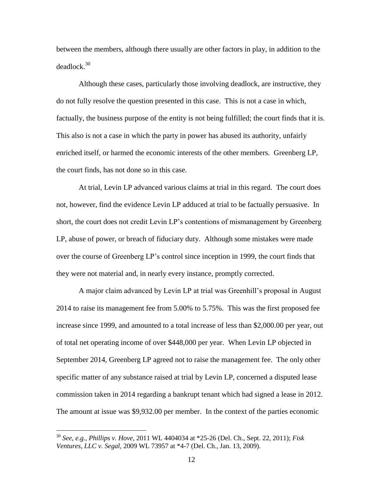between the members, although there usually are other factors in play, in addition to the deadlock.<sup>30</sup>

Although these cases, particularly those involving deadlock, are instructive, they do not fully resolve the question presented in this case. This is not a case in which, factually, the business purpose of the entity is not being fulfilled; the court finds that it is. This also is not a case in which the party in power has abused its authority, unfairly enriched itself, or harmed the economic interests of the other members. Greenberg LP, the court finds, has not done so in this case.

At trial, Levin LP advanced various claims at trial in this regard. The court does not, however, find the evidence Levin LP adduced at trial to be factually persuasive. In short, the court does not credit Levin LP's contentions of mismanagement by Greenberg LP, abuse of power, or breach of fiduciary duty. Although some mistakes were made over the course of Greenberg LP's control since inception in 1999, the court finds that they were not material and, in nearly every instance, promptly corrected.

A major claim advanced by Levin LP at trial was Greenhill's proposal in August 2014 to raise its management fee from 5.00% to 5.75%. This was the first proposed fee increase since 1999, and amounted to a total increase of less than \$2,000.00 per year, out of total net operating income of over \$448,000 per year. When Levin LP objected in September 2014, Greenberg LP agreed not to raise the management fee. The only other specific matter of any substance raised at trial by Levin LP, concerned a disputed lease commission taken in 2014 regarding a bankrupt tenant which had signed a lease in 2012. The amount at issue was \$9,932.00 per member. In the context of the parties economic

<sup>30</sup> *See, e.g., Phillips v. Hove*, 2011 WL 4404034 at \*25-26 (Del. Ch., Sept. 22, 2011); *Fisk Ventures, LLC v. Segal*, 2009 WL 73957 at \*4-7 (Del. Ch., Jan. 13, 2009).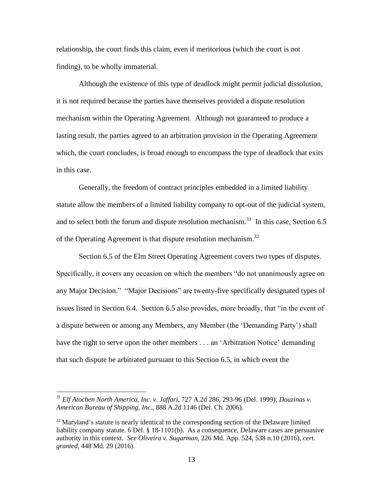relationship, the court finds this claim, even if meritorious (which the court is not finding), to be wholly immaterial.

Although the existence of this type of deadlock might permit judicial dissolution, it is not required because the parties have themselves provided a dispute resolution mechanism within the Operating Agreement. Although not guaranteed to produce a lasting result, the parties agreed to an arbitration provision in the Operating Agreement which, the court concludes, is broad enough to encompass the type of deadlock that exits in this case.

Generally, the freedom of contract principles embedded in a limited liability statute allow the members of a limited liability company to opt-out of the judicial system, and to select both the forum and dispute resolution mechanism.<sup>31</sup> In this case, Section 6.5 of the Operating Agreement is that dispute resolution mechanism.<sup>32</sup>

Section 6.5 of the Elm Street Operating Agreement covers two types of disputes. Specifically, it covers any occasion on which the members "do not unanimously agree on any Major Decision." "Major Decisions" are twenty-five specifically designated types of issues listed in Section 6.4. Section 6.5 also provides, more broadly, that "in the event of a dispute between or among any Members, any Member (the 'Demanding Party') shall have the right to serve upon the other members . . . an 'Arbitration Notice' demanding that such dispute be arbitrated pursuant to this Section 6.5, in which event the

<sup>31</sup> *Elf Atochen North America, Inc. v. Jaffari*, 727 A.2d 286, 293-96 (Del. 1999); *Douzinas v. American Bureau of Shipping, Inc*., 888 A.2d 1146 (Del. Ch. 2006).

 $32$  Maryland's statute is nearly identical to the corresponding section of the Delaware limited liability company statute. 6 Del. § 18-1101(b). As a consequence, Delaware cases are persuasive authority in this context. *See Oliveira v. Sugarman*, 226 Md. App. 524, 538 n.10 (2016), *cert. granted*, 448 Md. 29 (2016).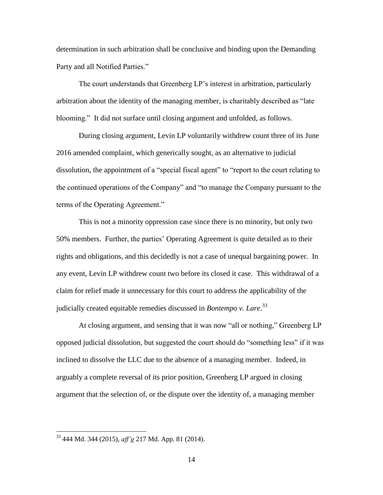determination in such arbitration shall be conclusive and binding upon the Demanding Party and all Notified Parties."

The court understands that Greenberg LP's interest in arbitration, particularly arbitration about the identity of the managing member, is charitably described as "late blooming." It did not surface until closing argument and unfolded, as follows.

During closing argument, Levin LP voluntarily withdrew count three of its June 2016 amended complaint, which generically sought, as an alternative to judicial dissolution, the appointment of a "special fiscal agent" to "report to the court relating to the continued operations of the Company" and "to manage the Company pursuant to the terms of the Operating Agreement."

This is not a minority oppression case since there is no minority, but only two 50% members. Further, the parties' Operating Agreement is quite detailed as to their rights and obligations, and this decidedly is not a case of unequal bargaining power. In any event, Levin LP withdrew count two before its closed it case. This withdrawal of a claim for relief made it unnecessary for this court to address the applicability of the judicially created equitable remedies discussed in *Bontempo v. Lare*. 33

At closing argument, and sensing that it was now "all or nothing," Greenberg LP opposed judicial dissolution, but suggested the court should do "something less" if it was inclined to dissolve the LLC due to the absence of a managing member. Indeed, in arguably a complete reversal of its prior position, Greenberg LP argued in closing argument that the selection of, or the dispute over the identity of, a managing member

<sup>33</sup> 444 Md. 344 (2015), *aff'g* 217 Md. App. 81 (2014).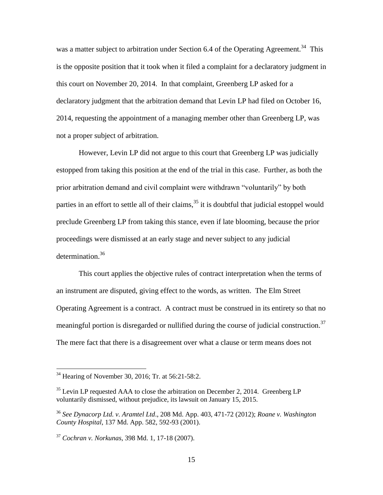was a matter subject to arbitration under Section 6.4 of the Operating Agreement.<sup>34</sup> This is the opposite position that it took when it filed a complaint for a declaratory judgment in this court on November 20, 2014. In that complaint, Greenberg LP asked for a declaratory judgment that the arbitration demand that Levin LP had filed on October 16, 2014, requesting the appointment of a managing member other than Greenberg LP, was not a proper subject of arbitration.

However, Levin LP did not argue to this court that Greenberg LP was judicially estopped from taking this position at the end of the trial in this case. Further, as both the prior arbitration demand and civil complaint were withdrawn "voluntarily" by both parties in an effort to settle all of their claims,  $35$  it is doubtful that judicial estoppel would preclude Greenberg LP from taking this stance, even if late blooming, because the prior proceedings were dismissed at an early stage and never subject to any judicial determination.<sup>36</sup>

This court applies the objective rules of contract interpretation when the terms of an instrument are disputed, giving effect to the words, as written. The Elm Street Operating Agreement is a contract. A contract must be construed in its entirety so that no meaningful portion is disregarded or nullified during the course of judicial construction.<sup>37</sup> The mere fact that there is a disagreement over what a clause or term means does not

 $34$  Hearing of November 30, 2016; Tr. at 56:21-58:2.

 $35$  Levin LP requested AAA to close the arbitration on December 2, 2014. Greenberg LP voluntarily dismissed, without prejudice, its lawsuit on January 15, 2015.

<sup>36</sup> *See Dynacorp Ltd. v. Aramtel Ltd*., 208 Md. App. 403, 471-72 (2012); *Roane v. Washington County Hospital*, 137 Md. App. 582, 592-93 (2001).

<sup>37</sup> *Cochran v. Norkunas*, 398 Md. 1, 17-18 (2007).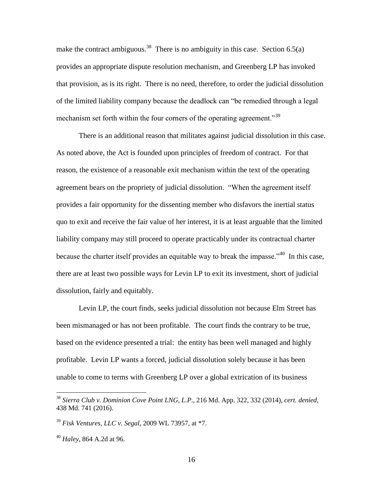make the contract ambiguous.<sup>38</sup> There is no ambiguity in this case. Section 6.5(a) provides an appropriate dispute resolution mechanism, and Greenberg LP has invoked that provision, as is its right. There is no need, therefore, to order the judicial dissolution of the limited liability company because the deadlock can "be remedied through a legal mechanism set forth within the four corners of the operating agreement."<sup>39</sup>

There is an additional reason that militates against judicial dissolution in this case. As noted above, the Act is founded upon principles of freedom of contract. For that reason, the existence of a reasonable exit mechanism within the text of the operating agreement bears on the propriety of judicial dissolution. "When the agreement itself provides a fair opportunity for the dissenting member who disfavors the inertial status quo to exit and receive the fair value of her interest, it is at least arguable that the limited liability company may still proceed to operate practicably under its contractual charter because the charter itself provides an equitable way to break the impasse.<sup> $340$ </sup> In this case, there are at least two possible ways for Levin LP to exit its investment, short of judicial dissolution, fairly and equitably.

Levin LP, the court finds, seeks judicial dissolution not because Elm Street has been mismanaged or has not been profitable. The court finds the contrary to be true, based on the evidence presented a trial: the entity has been well managed and highly profitable. Levin LP wants a forced, judicial dissolution solely because it has been unable to come to terms with Greenberg LP over a global extrication of its business

<sup>38</sup> *Sierra Club v. Dominion Cove Point LNG, L.P*., 216 Md. App. 322, 332 (2014), *cert. denied*, 438 Md. 741 (2016).

<sup>39</sup> *Fisk Ventures, LLC v. Segal*, 2009 WL 73957, at \*7.

<sup>40</sup> *Haley*, 864 A.2d at 96.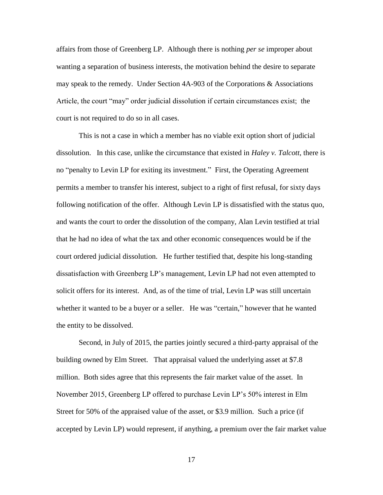affairs from those of Greenberg LP. Although there is nothing *per se* improper about wanting a separation of business interests, the motivation behind the desire to separate may speak to the remedy. Under Section 4A-903 of the Corporations & Associations Article, the court "may" order judicial dissolution if certain circumstances exist; the court is not required to do so in all cases.

This is not a case in which a member has no viable exit option short of judicial dissolution. In this case, unlike the circumstance that existed in *Haley v. Talcott*, there is no "penalty to Levin LP for exiting its investment." First, the Operating Agreement permits a member to transfer his interest, subject to a right of first refusal, for sixty days following notification of the offer. Although Levin LP is dissatisfied with the status quo, and wants the court to order the dissolution of the company, Alan Levin testified at trial that he had no idea of what the tax and other economic consequences would be if the court ordered judicial dissolution. He further testified that, despite his long-standing dissatisfaction with Greenberg LP's management, Levin LP had not even attempted to solicit offers for its interest. And, as of the time of trial, Levin LP was still uncertain whether it wanted to be a buyer or a seller. He was "certain," however that he wanted the entity to be dissolved.

Second, in July of 2015, the parties jointly secured a third-party appraisal of the building owned by Elm Street. That appraisal valued the underlying asset at \$7.8 million. Both sides agree that this represents the fair market value of the asset. In November 2015, Greenberg LP offered to purchase Levin LP's 50% interest in Elm Street for 50% of the appraised value of the asset, or \$3.9 million. Such a price (if accepted by Levin LP) would represent, if anything, a premium over the fair market value

17